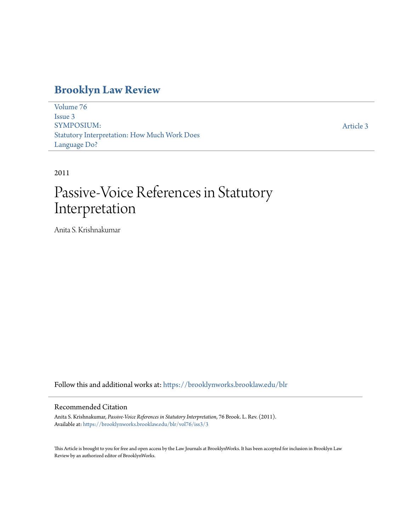### **[Brooklyn Law Review](https://brooklynworks.brooklaw.edu/blr?utm_source=brooklynworks.brooklaw.edu%2Fblr%2Fvol76%2Fiss3%2F3&utm_medium=PDF&utm_campaign=PDFCoverPages)**

[Volume 76](https://brooklynworks.brooklaw.edu/blr/vol76?utm_source=brooklynworks.brooklaw.edu%2Fblr%2Fvol76%2Fiss3%2F3&utm_medium=PDF&utm_campaign=PDFCoverPages) [Issue 3](https://brooklynworks.brooklaw.edu/blr/vol76/iss3?utm_source=brooklynworks.brooklaw.edu%2Fblr%2Fvol76%2Fiss3%2F3&utm_medium=PDF&utm_campaign=PDFCoverPages) SYMPOSIUM: Statutory Interpretation: How Much Work Does Language Do?

[Article 3](https://brooklynworks.brooklaw.edu/blr/vol76/iss3/3?utm_source=brooklynworks.brooklaw.edu%2Fblr%2Fvol76%2Fiss3%2F3&utm_medium=PDF&utm_campaign=PDFCoverPages)

2011

# Passive-Voice References in Statutory Interpretation

Anita S. Krishnakumar

Follow this and additional works at: [https://brooklynworks.brooklaw.edu/blr](https://brooklynworks.brooklaw.edu/blr?utm_source=brooklynworks.brooklaw.edu%2Fblr%2Fvol76%2Fiss3%2F3&utm_medium=PDF&utm_campaign=PDFCoverPages)

#### Recommended Citation

Anita S. Krishnakumar, *Passive-Voice References in Statutory Interpretation*, 76 Brook. L. Rev. (2011). Available at: [https://brooklynworks.brooklaw.edu/blr/vol76/iss3/3](https://brooklynworks.brooklaw.edu/blr/vol76/iss3/3?utm_source=brooklynworks.brooklaw.edu%2Fblr%2Fvol76%2Fiss3%2F3&utm_medium=PDF&utm_campaign=PDFCoverPages)

This Article is brought to you for free and open access by the Law Journals at BrooklynWorks. It has been accepted for inclusion in Brooklyn Law Review by an authorized editor of BrooklynWorks.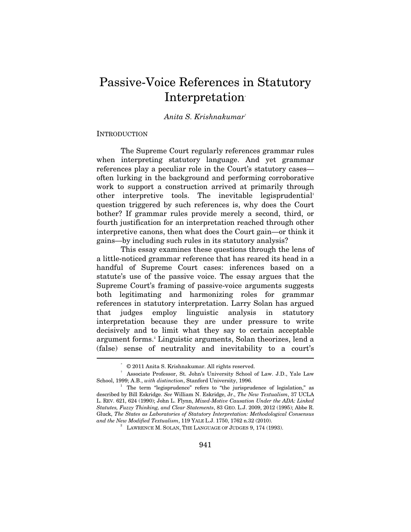## Passive-Voice References in Statutory Interpretation<sup>\*</sup>

#### *Anita S. Krishnakumar*†

#### **INTRODUCTION**

The Supreme Court regularly references grammar rules when interpreting statutory language. And yet grammar references play a peculiar role in the Court's statutory cases often lurking in the background and performing corroborative work to support a construction arrived at primarily through other interpretive tools. The inevitable legisprudential<sup>1</sup> question triggered by such references is, why does the Court bother? If grammar rules provide merely a second, third, or fourth justification for an interpretation reached through other interpretive canons, then what does the Court gain—or think it gains—by including such rules in its statutory analysis?

This essay examines these questions through the lens of a little-noticed grammar reference that has reared its head in a handful of Supreme Court cases: inferences based on a statute's use of the passive voice. The essay argues that the Supreme Court's framing of passive-voice arguments suggests both legitimating and harmonizing roles for grammar references in statutory interpretation. Larry Solan has argued that judges employ linguistic analysis in statutory interpretation because they are under pressure to write decisively and to limit what they say to certain acceptable argument forms.2 Linguistic arguments, Solan theorizes, lend a (false) sense of neutrality and inevitability to a court's  $\frac{1}{2}$ 

 $^2$  LAWRENCE M. SOLAN, THE LANGUAGE OF JUDGES 9, 174 (1993).

 $@ 2011$  Anita S. Krishnakumar. All rights reserved.

<sup>†</sup> Associate Professor, St. John's University School of Law. J.D., Yale Law School, 1999; A.B., *with distinction*, Stanford University, 1996.

 $1$  The term "legisprudence" refers to "the jurisprudence of legislation," as described by Bill Eskridge. *See* William N. Eskridge, Jr., *The New Textualism*, 37 UCLA L. REV. 621, 624 (1990); John L. Flynn, *Mixed-Motive Causation Under the ADA: Linked Statutes, Fuzzy Thinking, and Clear Statements*, 83 GEO. L.J. 2009, 2012 (1995); Abbe R. Gluck, *The States as Laboratories of Statutory Interpretation: Methodological Consensus and the New Modified Textualism*, 119 YALE L.J. 1750, 1762 n.32 (2010). 2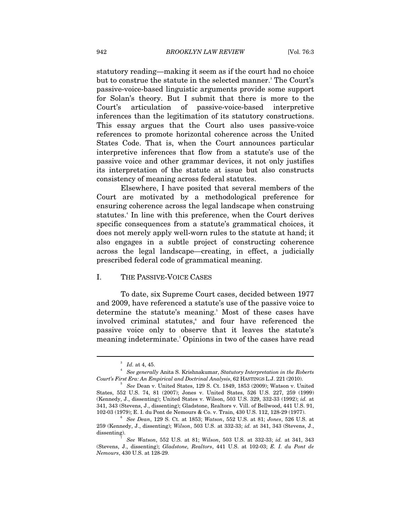statutory reading—making it seem as if the court had no choice but to construe the statute in the selected manner.<sup>3</sup> The Court's passive-voice-based linguistic arguments provide some support for Solan's theory. But I submit that there is more to the Court's articulation of passive-voice-based interpretive inferences than the legitimation of its statutory constructions. This essay argues that the Court also uses passive-voice references to promote horizontal coherence across the United States Code. That is, when the Court announces particular interpretive inferences that flow from a statute's use of the passive voice and other grammar devices, it not only justifies its interpretation of the statute at issue but also constructs consistency of meaning across federal statutes.

Elsewhere, I have posited that several members of the Court are motivated by a methodological preference for ensuring coherence across the legal landscape when construing statutes.<sup>4</sup> In line with this preference, when the Court derives specific consequences from a statute's grammatical choices, it does not merely apply well-worn rules to the statute at hand; it also engages in a subtle project of constructing coherence across the legal landscape—creating, in effect, a judicially prescribed federal code of grammatical meaning.

#### I. THE PASSIVE-VOICE CASES

To date, six Supreme Court cases, decided between 1977 and 2009, have referenced a statute's use of the passive voice to determine the statute's meaning.<sup>5</sup> Most of these cases have involved criminal statutes,<sup>®</sup> and four have referenced the passive voice only to observe that it leaves the statute's meaning indeterminate.7 Opinions in two of the cases have read

<sup>&</sup>lt;sup>3</sup> Id. at 4, 45.

*See generally* Anita S. Krishnakumar, *Statutory Interpretation in the Roberts Court's First Era: An Empirical and Doctrinal Analysis*, 62 HASTINGS L.J. 221 (2010).

*See* Dean v. United States, 129 S. Ct. 1849, 1853 (2009); Watson v. United States, 552 U.S. 74, 81 (2007); Jones v. United States, 526 U.S. 227, 259 (1999) (Kennedy, J., dissenting); United States v. Wilson, 503 U.S. 329, 332-33 (1992); *id.* at 341, 343 (Stevens, J., dissenting); Gladstone, Realtors v. Vill. of Bellwood, 441 U.S. 91, 102-03 (1979); E. I. du Pont de Nemours & Co. v. Train, 430 U.S. 112, 128-29 (1977). 6

*See Dean*, 129 S. Ct. at 1853; *Watson*, 552 U.S. at 81; *Jones*, 526 U.S. at 259 (Kennedy, J., dissenting); *Wilson*, 503 U.S. at 332-33; *id.* at 341, 343 (Stevens, J., dissenting).

*See Watson*, 552 U.S. at 81; *Wilson*, 503 U.S. at 332-33; *id.* at 341, 343 (Stevens, J., dissenting); *Gladstone, Realtors*, 441 U.S. at 102-03; *E. I. du Pont de Nemours*, 430 U.S. at 128-29.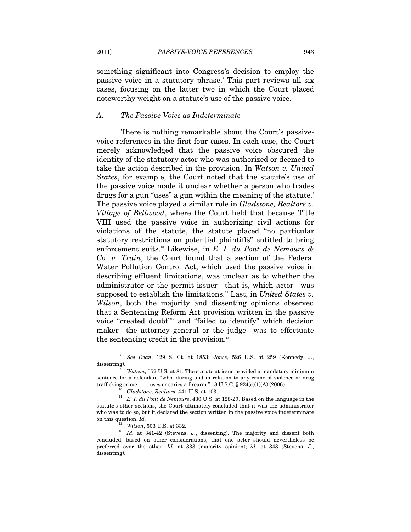something significant into Congress's decision to employ the passive voice in a statutory phrase.8 This part reviews all six cases, focusing on the latter two in which the Court placed noteworthy weight on a statute's use of the passive voice.

#### *A. The Passive Voice as Indeterminate*

There is nothing remarkable about the Court's passivevoice references in the first four cases. In each case, the Court merely acknowledged that the passive voice obscured the identity of the statutory actor who was authorized or deemed to take the action described in the provision. In *Watson v. United States*, for example, the Court noted that the statute's use of the passive voice made it unclear whether a person who trades drugs for a gun "uses" a gun within the meaning of the statute.<sup>9</sup> The passive voice played a similar role in *Gladstone, Realtors v. Village of Bellwood*, where the Court held that because Title VIII used the passive voice in authorizing civil actions for violations of the statute, the statute placed "no particular statutory restrictions on potential plaintiffs" entitled to bring enforcement suits.10 Likewise, in *E. I. du Pont de Nemours & Co. v. Train*, the Court found that a section of the Federal Water Pollution Control Act, which used the passive voice in describing effluent limitations, was unclear as to whether the administrator or the permit issuer—that is, which actor—was supposed to establish the limitations.<sup>11</sup> Last, in *United States v*. *Wilson*, both the majority and dissenting opinions observed that a Sentencing Reform Act provision written in the passive voice "created doubt"<sup>12</sup> and "failed to identify" which decision maker—the attorney general or the judge—was to effectuate the sentencing credit in the provision.<sup>13</sup>  $\overline{a}$ 

<sup>8</sup>  *See Dean*, 129 S. Ct. at 1853; *Jones*, 526 U.S. at 259 (Kennedy, J., dissenting).

*Watson*, 552 U.S. at 81. The statute at issue provided a mandatory minimum sentence for a defendant "who, during and in relation to any crime of violence or drug trafficking crime . . . , uses or caries a firearm." 18 U.S.C. § 924(c)(1)(A) (2006).<br><sup>10</sup> *Gladstone, Realtors*, 441 U.S. at 103.<br><sup>11</sup> *E. I. du Pont de Nemours*, 430 U.S. at 128-29. Based on the language in the

statute's other sections, the Court ultimately concluded that it was the administrator who was to do so, but it declared the section written in the passive voice indeterminate % on this question. *Id.* Wilson, 503 U.S. at 332.

<sup>&</sup>lt;sup>13</sup> *Id.* at 341-42 (Stevens, J., dissenting). The majority and dissent both concluded, based on other considerations, that one actor should nevertheless be preferred over the other. *Id.* at 333 (majority opinion); *id.* at 343 (Stevens, J., dissenting).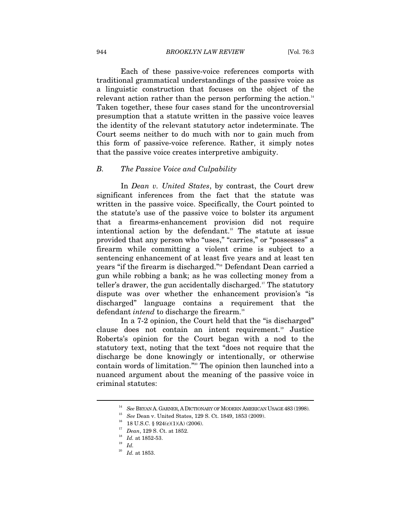Each of these passive-voice references comports with traditional grammatical understandings of the passive voice as a linguistic construction that focuses on the object of the relevant action rather than the person performing the action.<sup>14</sup> Taken together, these four cases stand for the uncontroversial presumption that a statute written in the passive voice leaves the identity of the relevant statutory actor indeterminate. The Court seems neither to do much with nor to gain much from this form of passive-voice reference. Rather, it simply notes that the passive voice creates interpretive ambiguity.

#### *B. The Passive Voice and Culpability*

In *Dean v. United States*, by contrast, the Court drew significant inferences from the fact that the statute was written in the passive voice. Specifically, the Court pointed to the statute's use of the passive voice to bolster its argument that a firearms-enhancement provision did not require intentional action by the defendant.<sup>15</sup> The statute at issue provided that any person who "uses," "carries," or "possesses" a firearm while committing a violent crime is subject to a sentencing enhancement of at least five years and at least ten years "if the firearm is discharged."16 Defendant Dean carried a gun while robbing a bank; as he was collecting money from a teller's drawer, the gun accidentally discharged.<sup>17</sup> The statutory dispute was over whether the enhancement provision's "is discharged" language contains a requirement that the defendant *intend* to discharge the firearm.<sup>18</sup>

In a 7-2 opinion, the Court held that the "is discharged" clause does not contain an intent requirement.19 Justice Roberts's opinion for the Court began with a nod to the statutory text, noting that the text "does not require that the discharge be done knowingly or intentionally, or otherwise contain words of limitation."20 The opinion then launched into a nuanced argument about the meaning of the passive voice in criminal statutes:

<sup>14</sup> *See* BRYAN A. GARNER, <sup>A</sup> DICTIONARY OF MODERN AMERICAN USAGE 483 (1998). 15 *See* Dean v. United States, 129 S. Ct. 1849, 1853 (2009). 16 18 U.S.C. § 924(c)(1)(A) (2006).

<sup>17</sup> *Dean*, 129 S. Ct. at 1852. 18 *Id.* at 1852-53. 19 *Id.*

<sup>20</sup> *Id.* at 1853.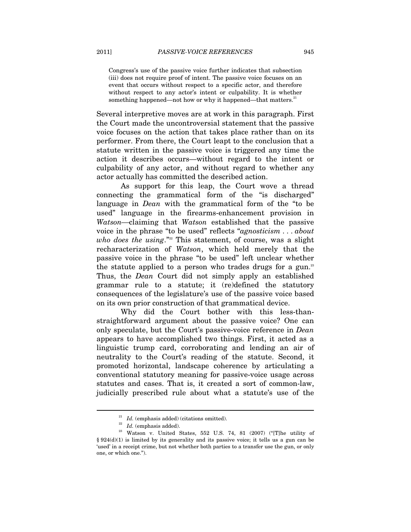Congress's use of the passive voice further indicates that subsection (iii) does not require proof of intent. The passive voice focuses on an event that occurs without respect to a specific actor, and therefore without respect to any actor's intent or culpability. It is whether something happened—not how or why it happened—that matters.<sup>21</sup>

Several interpretive moves are at work in this paragraph. First the Court made the uncontroversial statement that the passive voice focuses on the action that takes place rather than on its performer. From there, the Court leapt to the conclusion that a statute written in the passive voice is triggered any time the action it describes occurs—without regard to the intent or culpability of any actor, and without regard to whether any actor actually has committed the described action.

As support for this leap, the Court wove a thread connecting the grammatical form of the "is discharged" language in *Dean* with the grammatical form of the "to be used" language in the firearms-enhancement provision in *Watson*—claiming that *Watson* established that the passive voice in the phrase "to be used" reflects "*agnosticism* . . . *about who does the using.*"<sup>22</sup> This statement, of course, was a slight recharacterization of *Watson*, which held merely that the passive voice in the phrase "to be used" left unclear whether the statute applied to a person who trades drugs for a gun.<sup>23</sup> Thus, the *Dean* Court did not simply apply an established grammar rule to a statute; it (re)defined the statutory consequences of the legislature's use of the passive voice based on its own prior construction of that grammatical device.

Why did the Court bother with this less-thanstraightforward argument about the passive voice? One can only speculate, but the Court's passive-voice reference in *Dean* appears to have accomplished two things. First, it acted as a linguistic trump card, corroborating and lending an air of neutrality to the Court's reading of the statute. Second, it promoted horizontal, landscape coherence by articulating a conventional statutory meaning for passive-voice usage across statutes and cases. That is, it created a sort of common-law, judicially prescribed rule about what a statute's use of the

<sup>&</sup>lt;sup>21</sup> *Id.* (emphasis added) (citations omitted).<br><sup>22</sup> *Id.* (emphasis added).<br><sup>23</sup> Watson v. United States, 552 U.S. 74, 81 (2007) ("[T]he utility of §  $924(d)(1)$  is limited by its generality and its passive voice; it tells us a gun can be 'used' in a receipt crime, but not whether both parties to a transfer use the gun, or only one, or which one.").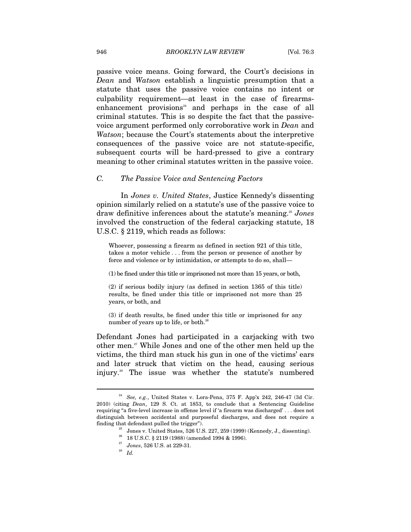passive voice means. Going forward, the Court's decisions in *Dean* and *Watson* establish a linguistic presumption that a statute that uses the passive voice contains no intent or culpability requirement—at least in the case of firearmsenhancement provisions $24$  and perhaps in the case of all criminal statutes. This is so despite the fact that the passivevoice argument performed only corroborative work in *Dean* and *Watson*; because the Court's statements about the interpretive consequences of the passive voice are not statute-specific, subsequent courts will be hard-pressed to give a contrary meaning to other criminal statutes written in the passive voice.

#### *C. The Passive Voice and Sentencing Factors*

In *Jones v. United States*, Justice Kennedy's dissenting opinion similarly relied on a statute's use of the passive voice to draw definitive inferences about the statute's meaning.25 *Jones* involved the construction of the federal carjacking statute, 18 U.S.C. § 2119, which reads as follows:

Whoever, possessing a firearm as defined in section 921 of this title, takes a motor vehicle . . . from the person or presence of another by force and violence or by intimidation, or attempts to do so, shall—

(1) be fined under this title or imprisoned not more than 15 years, or both,

(2) if serious bodily injury (as defined in section 1365 of this title) results, be fined under this title or imprisoned not more than 25 years, or both, and

(3) if death results, be fined under this title or imprisoned for any number of years up to life, or both.<sup>26</sup>

Defendant Jones had participated in a carjacking with two other men.27 While Jones and one of the other men held up the victims, the third man stuck his gun in one of the victims' ears and later struck that victim on the head, causing serious injury.28 The issue was whether the statute's numbered

<sup>24</sup> *See, e.g.*, United States v. Lora-Pena, 375 F. App'x 242, 246-47 (3d Cir. 2010) (citing *Dean*, 129 S. Ct. at 1853, to conclude that a Sentencing Guideline requiring "a five-level increase in offense level if 'a firearm was discharged' . . . does not distinguish between accidental and purposeful discharges, and does not require a % Jones v. United States, 526 U.S. 227, 259 (1999) (Kennedy, J., dissenting).  $^{26}$  18 U.S.C. § 2119 (1988) (amended 1994 & 1996).

<sup>27</sup> *Jones*, 526 U.S. at 229-31. 28 *Id.*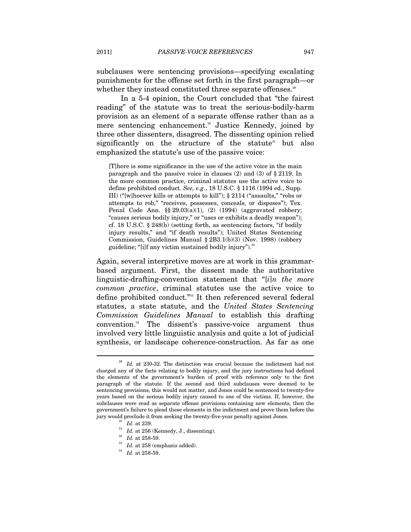subclauses were sentencing provisions—specifying escalating punishments for the offense set forth in the first paragraph—or whether they instead constituted three separate offenses.<sup>29</sup>

In a 5-4 opinion, the Court concluded that "the fairest reading" of the statute was to treat the serious-bodily-harm provision as an element of a separate offense rather than as a mere sentencing enhancement.<sup>30</sup> Justice Kennedy, joined by three other dissenters, disagreed. The dissenting opinion relied significantly on the structure of the statute<sup>31</sup> but also emphasized the statute's use of the passive voice:

[T]here is some significance in the use of the active voice in the main paragraph and the passive voice in clauses (2) and (3) of § 2119. In the more common practice, criminal statutes use the active voice to define prohibited conduct. *See, e.g.*, 18 U.S.C. § 1116 (1994 ed., Supp. III) ("[w]hoever kills or attempts to kill"); § 2114 ("assaults," "robs or attempts to rob," "receives, possesses, conceals, or disposes"); Tex. Penal Code Ann. §§ 29.03(a)(1), (2) (1994) (aggravated robbery; "causes serious bodily injury," or "uses or exhibits a deadly weapon"); cf. 18 U.S.C. § 248(b) (setting forth, as sentencing factors, "if bodily injury results," and "if death results"); United States Sentencing Commission, Guidelines Manual § 2B3.1(b)(3) (Nov. 1998) (robbery guideline; "[i]f any victim sustained bodily injury").<sup>32</sup>

Again, several interpretive moves are at work in this grammarbased argument. First, the dissent made the authoritative linguistic-drafting-convention statement that "[*i*]*n the more common practice*, criminal statutes use the active voice to define prohibited conduct."33 It then referenced several federal statutes, a state statute, and the *United States Sentencing Commission Guidelines Manual* to establish this drafting convention.34 The dissent's passive-voice argument thus involved very little linguistic analysis and quite a lot of judicial synthesis, or landscape coherence-construction. As far as one

<sup>29</sup> *Id.* at 230-32. The distinction was crucial because the indictment had not charged any of the facts relating to bodily injury, and the jury instructions had defined the elements of the government's burden of proof with reference only to the first paragraph of the statute. If the second and third subclauses were deemed to be sentencing provisions, this would not matter, and Jones could be sentenced to twenty-five years based on the serious bodily injury caused to one of the victims. If, however, the subclauses were read as separate offense provisions containing new elements, then the government's failure to plead these elements in the indictment and prove them before the jury would preclude it from seeking the twenty-five-year penalty against Jones.<br>  $^{30}$  *Id.* at 239.<br>  $^{31}$  *Id.* at 256 (Kennedy, J., dissenting).<br>  $^{32}$  *Id.* at 258-59.<br>  $^{33}$  *Id.* at 258 (emphasis added).<br>  $^{34}$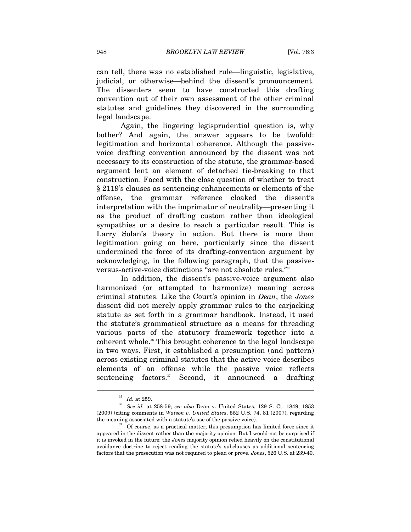can tell, there was no established rule—linguistic, legislative, judicial, or otherwise—behind the dissent's pronouncement. The dissenters seem to have constructed this drafting convention out of their own assessment of the other criminal statutes and guidelines they discovered in the surrounding legal landscape.

Again, the lingering legisprudential question is, why bother? And again, the answer appears to be twofold: legitimation and horizontal coherence. Although the passivevoice drafting convention announced by the dissent was not necessary to its construction of the statute, the grammar-based argument lent an element of detached tie-breaking to that construction. Faced with the close question of whether to treat § 2119's clauses as sentencing enhancements or elements of the offense, the grammar reference cloaked the dissent's interpretation with the imprimatur of neutrality—presenting it as the product of drafting custom rather than ideological sympathies or a desire to reach a particular result. This is Larry Solan's theory in action. But there is more than legitimation going on here, particularly since the dissent undermined the force of its drafting-convention argument by acknowledging, in the following paragraph, that the passiveversus-active-voice distinctions "are not absolute rules."35

In addition, the dissent's passive-voice argument also harmonized (or attempted to harmonize) meaning across criminal statutes. Like the Court's opinion in *Dean*, the *Jones* dissent did not merely apply grammar rules to the carjacking statute as set forth in a grammar handbook. Instead, it used the statute's grammatical structure as a means for threading various parts of the statutory framework together into a coherent whole.<sup>36</sup> This brought coherence to the legal landscape in two ways. First, it established a presumption (and pattern) across existing criminal statutes that the active voice describes elements of an offense while the passive voice reflects sentencing factors.<sup>37</sup> Second, it announced a drafting

<sup>35</sup> *Id.* at 259. 36 *See id.* at 258-59; *see also* Dean v. United States, 129 S. Ct. 1849, 1853 (2009) (citing comments in *Watson v. United States*, 552 U.S. 74, 81 (2007), regarding the meaning associated with a statute's use of the passive voice).<br><sup>37</sup> Of course, as a practical matter, this presumption has limited force since it

appeared in the dissent rather than the majority opinion. But I would not be surprised if it is invoked in the future: the *Jones* majority opinion relied heavily on the constitutional avoidance doctrine to reject reading the statute's subclauses as additional sentencing factors that the prosecution was not required to plead or prove. *Jones*, 526 U.S. at 239-40.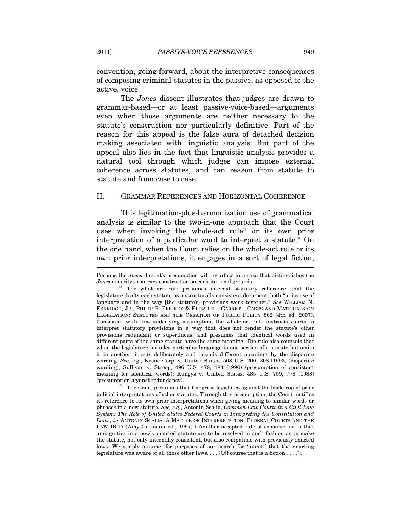convention, going forward, about the interpretive consequences of composing criminal statutes in the passive, as opposed to the active, voice.

The *Jones* dissent illustrates that judges are drawn to grammar-based—or at least passive-voice-based—arguments even when those arguments are neither necessary to the statute's construction nor particularly definitive. Part of the reason for this appeal is the false aura of detached decision making associated with linguistic analysis. But part of the appeal also lies in the fact that linguistic analysis provides a natural tool through which judges can impose external coherence across statutes, and can reason from statute to statute and from case to case.

#### II. GRAMMAR REFERENCES AND HORIZONTAL COHERENCE

This legitimation-plus-harmonization use of grammatical analysis is similar to the two-in-one approach that the Court uses when invoking the whole-act rule<sup>38</sup> or its own prior interpretation of a particular word to interpret a statute.<sup>39</sup> On the one hand, when the Court relies on the whole-act rule or its own prior interpretations, it engages in a sort of legal fiction, j

Perhaps the *Jones* dissent's presumption will resurface in a case that distinguishes the *Jones* majority's contrary construction on constitutional grounds.<br><sup>38</sup> The whole-act rule presumes internal statutory coherence—that the

legislature drafts each statute as a structurally consistent document, both "in its use of language and in the way [the statute's] provisions work together." *See* WILLIAM N. ESKRIDGE, JR., PHILIP P. FRICKEY & ELIZABETH GARRETT, CASES AND MATERIALS ON LEGISLATION: STATUTES AND THE CREATION OF PUBLIC POLICY 862 (4th ed. 2007). Consistent with this underlying assumption, the whole-act rule instructs courts to interpret statutory provisions in a way that does not render the statute's other provisions redundant or superfluous, and presumes that identical words used in different parts of the same statute have the same meaning. The rule also counsels that when the legislature includes particular language in one section of a statute but omits it in another, it acts deliberately and intends different meanings by the disparate wording. *See, e.g*., Keene Corp. v. United States, 508 U.S. 200, 208 (1993) (disparate wording); Sullivan v. Stroop, 496 U.S. 478, 484 (1990) (presumption of consistent meaning for identical words); Kungys v. United States, 485 U.S. 759, 778 (1988)

<sup>(</sup>presumption against redundancy). 39 The Court presumes that Congress legislates against the backdrop of prior judicial interpretations of other statutes. Through this presumption, the Court justifies its reference to its own prior interpretations when giving meaning to similar words or phrases in a new statute. *See, e.g.*, Antonin Scalia, *Common-Law Courts in a Civil-Law System: The Role of United States Federal Courts in Interpreting the Constitution and Laws*, *in* ANTONIN SCALIA, A MATTER OF INTERPRETATION: FEDERAL COURTS AND THE LAW 16-17 (Amy Gutmann ed., 1997) ("Another accepted rule of construction is that ambiguities in a newly enacted statute are to be resolved in such fashion as to make the statute, not only internally consistent, but also compatible with previously enacted laws. We simply assume, for purposes of our search for 'intent,' that the enacting legislature was aware of all those other laws. . . . [O]f course that is a fiction . . . .").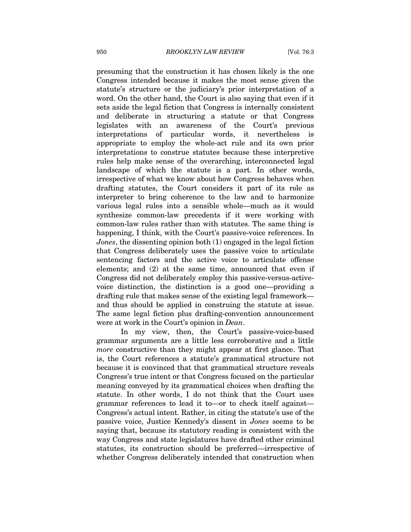presuming that the construction it has chosen likely is the one Congress intended because it makes the most sense given the statute's structure or the judiciary's prior interpretation of a word. On the other hand, the Court is also saying that even if it sets aside the legal fiction that Congress is internally consistent and deliberate in structuring a statute or that Congress legislates with an awareness of the Court's previous interpretations of particular words, it nevertheless is appropriate to employ the whole-act rule and its own prior interpretations to construe statutes because these interpretive rules help make sense of the overarching, interconnected legal landscape of which the statute is a part. In other words, irrespective of what we know about how Congress behaves when drafting statutes, the Court considers it part of its role as interpreter to bring coherence to the law and to harmonize various legal rules into a sensible whole—much as it would synthesize common-law precedents if it were working with common-law rules rather than with statutes. The same thing is happening, I think, with the Court's passive-voice references. In *Jones*, the dissenting opinion both (1) engaged in the legal fiction that Congress deliberately uses the passive voice to articulate sentencing factors and the active voice to articulate offense elements; and (2) at the same time, announced that even if Congress did not deliberately employ this passive-versus-activevoice distinction, the distinction is a good one—providing a drafting rule that makes sense of the existing legal framework and thus should be applied in construing the statute at issue. The same legal fiction plus drafting-convention announcement were at work in the Court's opinion in *Dean*.

In my view, then, the Court's passive-voice-based grammar arguments are a little less corroborative and a little *more* constructive than they might appear at first glance. That is, the Court references a statute's grammatical structure not because it is convinced that that grammatical structure reveals Congress's true intent or that Congress focused on the particular meaning conveyed by its grammatical choices when drafting the statute. In other words, I do not think that the Court uses grammar references to lead it to—or to check itself against— Congress's actual intent. Rather, in citing the statute's use of the passive voice, Justice Kennedy's dissent in *Jones* seems to be saying that, because its statutory reading is consistent with the way Congress and state legislatures have drafted other criminal statutes, its construction should be preferred—irrespective of whether Congress deliberately intended that construction when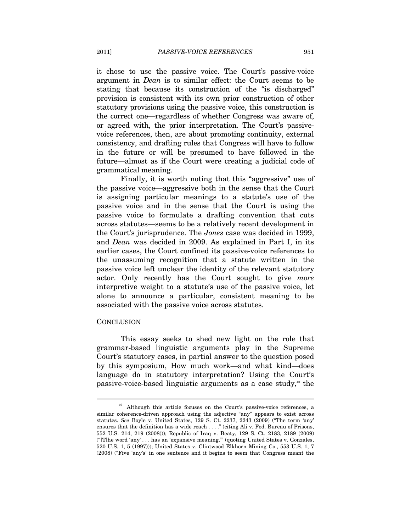it chose to use the passive voice. The Court's passive-voice argument in *Dean* is to similar effect: the Court seems to be stating that because its construction of the "is discharged" provision is consistent with its own prior construction of other statutory provisions using the passive voice, this construction is the correct one—regardless of whether Congress was aware of, or agreed with, the prior interpretation. The Court's passivevoice references, then, are about promoting continuity, external consistency, and drafting rules that Congress will have to follow in the future or will be presumed to have followed in the future—almost as if the Court were creating a judicial code of grammatical meaning.

Finally, it is worth noting that this "aggressive" use of the passive voice—aggressive both in the sense that the Court is assigning particular meanings to a statute's use of the passive voice and in the sense that the Court is using the passive voice to formulate a drafting convention that cuts across statutes—seems to be a relatively recent development in the Court's jurisprudence. The *Jones* case was decided in 1999, and *Dean* was decided in 2009. As explained in Part I, in its earlier cases, the Court confined its passive-voice references to the unassuming recognition that a statute written in the passive voice left unclear the identity of the relevant statutory actor. Only recently has the Court sought to give *more* interpretive weight to a statute's use of the passive voice, let alone to announce a particular, consistent meaning to be associated with the passive voice across statutes.

#### **CONCLUSION**

 $\overline{a}$ 

This essay seeks to shed new light on the role that grammar-based linguistic arguments play in the Supreme Court's statutory cases, in partial answer to the question posed by this symposium, How much work—and what kind—does language do in statutory interpretation? Using the Court's passive-voice-based linguistic arguments as a case study,<sup>40</sup> the

<sup>&</sup>lt;sup>40</sup> Although this article focuses on the Court's passive-voice references, a similar coherence-driven approach using the adjective "any" appears to exist across statutes. *See* Boyle v. United States, 129 S. Ct. 2237, 2243 (2009) ("The term 'any' ensures that the definition has a wide reach . . . ." (citing Ali v. Fed. Bureau of Prisons, 552 U.S. 214, 219 (2008))); Republic of Iraq v. Beaty, 129 S. Ct. 2183, 2189 (2009) ("[T]he word 'any' . . . has an 'expansive meaning.'" (quoting United States v. Gonzales, 520 U.S. 1, 5 (1997))); United States v. Clintwood Elkhorn Mining Co., 553 U.S. 1, 7 (2008) ("Five 'any's' in one sentence and it begins to seem that Congress meant the